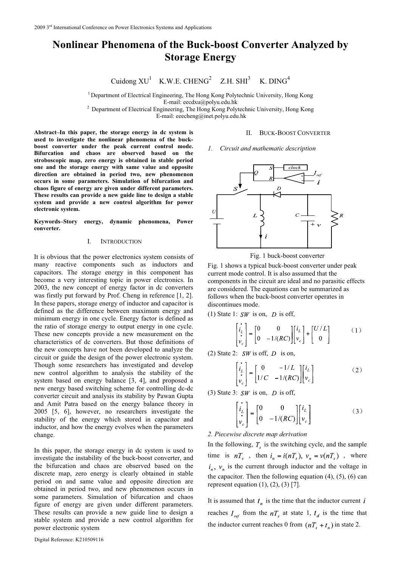# **Nonlinear Phenomena of the Buck-boost Converter Analyzed by Storage Energy**

Cuidong  $XU^1$  K.W.E. CHENG<sup>2</sup> Z.H. SHI<sup>3</sup> K. DING<sup>4</sup>

<sup>1</sup> Department of Electrical Engineering, The Hong Kong Polytechnic University, Hong Kong E-mail: eecdxu $@$ polyu.edu.hk <sup>2</sup> Department of Electrical Engineering, The Hong Kong Polytechnic University, Hong Kong

E-mail: eeecheng@inet.polyu.edu.hk

**Abstract–In this paper, the storage energy in dc system is used to investigate the nonlinear phenomena of the buckboost converter under the peak current control mode. Bifurcation and chaos are observed based on the stroboscopic map, zero energy is obtained in stable period one and the storage energy with same value and opposite direction are obtained in period two, new phenomenon occurs in some parameters. Simulation of bifurcation and chaos figure of energy are given under different parameters. These results can provide a new guide line to design a stable system and provide a new control algorithm for power electronic system.** 

**Keywords–Story energy, dynamic phenomena, Power converter.** 

## I. INTRODUCTION

It is obvious that the power electronics system consists of many reactive components such as inductors and capacitors. The storage energy in this component has become a very interesting topic in power electronics. In 2003, the new concept of energy factor in dc converters was firstly put forward by Prof. Cheng in reference [1, 2]. In these papers, storage energy of inductor and capacitor is defined as the difference between maximum energy and minimum energy in one cycle. Energy factor is defined as the ratio of storage energy to output energy in one cycle. These new concepts provide a new measurement on the characteristics of dc converters. But those definitions of the new concepts have not been developed to analyze the circuit or guide the design of the power electronic system. Though some researchers has investigated and develop new control algorithm to analysis the stability of the system based on energy balance [3, 4], and proposed a new energy based switching scheme for controlling dc-dc converter circuit and analysis its stability by Pawan Gupta and Amit Patra based on the energy balance theory in 2005 [5, 6], however, no researchers investigate the stability of the energy which stored in capacitor and inductor, and how the energy evolves when the parameters change.

In this paper, the storage energy in dc system is used to investigate the instability of the buck-boost converter, and the bifurcation and chaos are observed based on the discrete map, zero energy is clearly obtained in stable period on and same value and opposite direction are obtained in period two, and new phenomenon occurs in some parameters. Simulation of bifurcation and chaos figure of energy are given under different parameters. These results can provide a new guide line to design a stable system and provide a new control algorithm for power electronic system

# II. BUCK-BOOST CONVERTER



*1. Circuit and mathematic description* 



Fig. 1 buck-boost converter

Fig. 1 shows a typical buck-boost converter under peak current mode control. It is also assumed that the components in the circuit are ideal and no parasitic effects are considered. The equations can be summarized as follows when the buck-boost converter operates in discontinues mode.

(1) State 1:  $SW$  is on, D is off,

$$
\begin{bmatrix} \vec{i}_L \\ \vec{i}_c \\ \vec{v}_c \end{bmatrix} = \begin{bmatrix} 0 & 0 \\ 0 & -1/(RC) \end{bmatrix} \begin{bmatrix} i_L \\ v_c \end{bmatrix} + \begin{bmatrix} U/L \\ 0 \end{bmatrix}
$$
 (1)

(2) State 2:  $SW$  is off, D is on,

$$
\begin{bmatrix} \vec{i}_L \\ \vec{i}_c \\ \vec{v}_c \end{bmatrix} = \begin{bmatrix} 0 & -1/L \\ 1/C & -1/(RC) \end{bmatrix} \begin{bmatrix} i_L \\ v_c \end{bmatrix}
$$
 (2)

(3) State 3:  $SW$  is on,  $D$  is off,

$$
\begin{bmatrix} \vec{i}_L \\ \vec{v}_c \end{bmatrix} = \begin{bmatrix} 0 & 0 \\ 0 & -1/(RC) \end{bmatrix} \begin{bmatrix} i_L \\ v_c \end{bmatrix}
$$
 (3)

## *2. Piecewise discrete map derivation*

In the following,  $T<sub>s</sub>$  is the switching cycle, and the sample time is  $nT_s$ , then  $i_n = i(nT_s)$ ,  $v_n = v(nT_s)$ , where  $i_n$ ,  $v_n$  is the current through inductor and the voltage in the capacitor. Then the following equation  $(4)$ ,  $(5)$ ,  $(6)$  can represent equation  $(1)$ ,  $(2)$ ,  $(3)$   $[7]$ .

It is assumed that  $t_n$  is the time that the inductor current  $i$ reaches  $I_{ref}$  from the  $nT_s$  at state 1,  $t_d$  is the time that the inductor current reaches 0 from  $(nT_a + t_n)$  in state 2.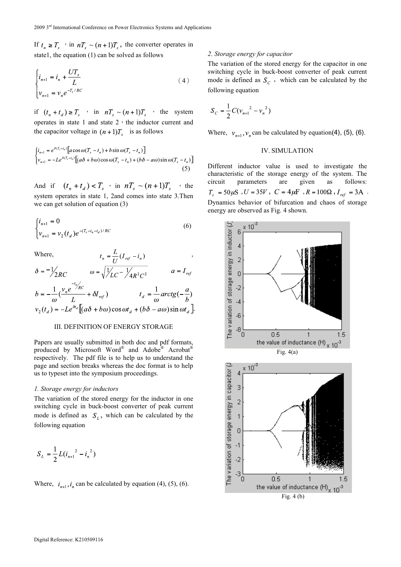If  $t_n \geq T_s$  in  $nT_s \sim (n+1)T_s$ , the converter operates in state1, the equation (1) can be solved as follows

$$
\begin{cases}\ni_{n+1} = i_n + \frac{UT_s}{L} \\
v_{n+1} = v_n e^{-T_s/RC}\n\end{cases} (4)
$$

if  $(t_n + t_d) \ge T_s$  'n  $nT_s \sim (n+1)T_s$  'the system operates in state  $1$  and state  $2 \cdot$  the inductor current and the capacitor voltage in  $(n+1)T<sub>s</sub>$  is as follows

$$
\begin{cases}\ni_{n+1} = e^{\delta(T_s - t_n)} \left[ a \cos \omega (T_s - t_n) + b \sin \omega (T_s - t_n) \right] \\
v_{n+1} = -Le^{\delta(T_s - t_n)} \left[ (a\delta + b\omega) \cos \omega (T_s - t_n) + (b\delta - a\omega) \sin \omega (T_s - t_n) \right]\n\end{cases}
$$
\n(5)

And if  $(t_n + t_d) < T_s$  in  $nT_s \sim (n+1)T_s$  ithe system operates in state 1, 2and comes into state 3.Then we can get solution of equation (3)

$$
\begin{cases} i_{n+1} = 0\\ v_{n+1} = v_2(t_d) e^{-(T_s - t_n - t_d)/RC} \end{cases}
$$
 (6)

Where,  $t_n = \frac{L}{L} (I_{ref} - i_n)$ 

$$
\delta = -\frac{1}{2RC} \qquad \omega = \sqrt{\frac{1}{LC} - \frac{1}{4R^2C^2}} \qquad a = I_{ref}
$$

$$
b = -\frac{1}{\omega} \left( \frac{v_n e^{-t_n}/\kappa c}{L} + \delta I_{ref} \right) \qquad t_d = \frac{1}{\omega} \arctg(-\frac{a}{b})
$$

$$
v_2(t_d) = -Le^{\delta t_d} \left[ (a\delta + b\omega) \cos \omega t_d + (b\delta - a\omega) \sin \omega t_d \right]
$$

# III. DEFINITION OF ENERGY STORAGE

Papers are usually submitted in both doc and pdf formats, produced by Microsoft Word® and Adobe® Acrobat® respectively. The pdf file is to help us to understand the page and section breaks whereas the doc format is to help us to typeset into the symposium proceedings.

### *1. Storage energy for inductors*

The variation of the stored energy for the inductor in one switching cycle in buck-boost converter of peak current mode is defined as  $S_l$ , which can be calculated by the following equation

$$
S_L = \frac{1}{2} L (i_{n+1}^{2} - i_{n}^{2})
$$

Where,  $i_{n+1}$ ,  $i_n$  can be calculated by equation (4), (5), (6).

#### *2. Storage energy for capacitor*

The variation of the stored energy for the capacitor in one switching cycle in buck-boost converter of peak current mode is defined as  $S_c$ , which can be calculated by the following equation

$$
S_C = \frac{1}{2} C (v_{n+1}^{2} - v_{n}^{2})
$$

.

Where,  $v_{n+1}$ ,  $v_n$  can be calculated by equation(4), (5), (6).

## IV. SIMULATION

Different inductor value is used to investigate the characteristic of the storage energy of the system. The circuit parameters are given as follows:  $U = 35V$ ,  $C = 4\mu F$ ,  $R = 100\Omega$ ,  $I_{ref} = 3A$ . Dynamics behavior of bifurcation and chaos of storage energy are observed as Fig. 4 shown.